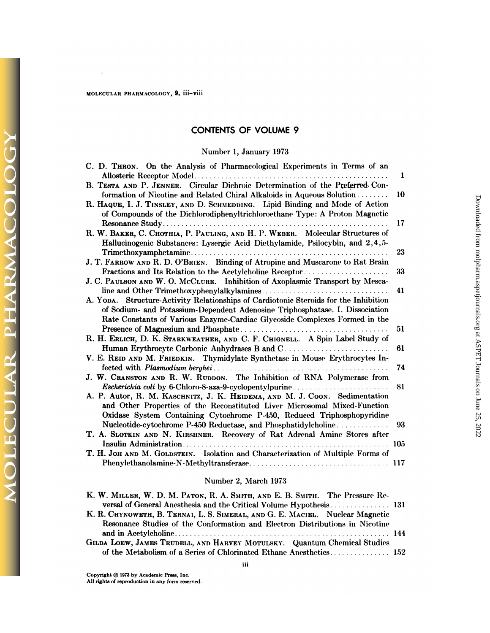#### MOLECULAR PHARMACOLOGY, 9, iii-viii

 $\ddot{\phantom{a}}$ 

**DLECULAR PHARMACOLO** 

## **CONTENTS OF VOLUME 9**

### Number 1, January 1973

| C. D. THRON. On the Analysis of Pharmacological Experiments in Terms of an                                                                                  | 1   |
|-------------------------------------------------------------------------------------------------------------------------------------------------------------|-----|
|                                                                                                                                                             |     |
| B. TESTA AND P. JENNER. Circular Dichroic Determination of the Preferred Con-                                                                               |     |
| formation of Nicotine and Related Chiral Alkaloids in Aqueous Solution                                                                                      | 10  |
| R. HAQUE, I. J. TINSLEY, AND D. SCHMEDDING. Lipid Binding and Mode of Action<br>of Compounds of the Dichlorodiphenyltrichloroethane Type: A Proton Magnetic |     |
|                                                                                                                                                             | 17  |
| R. W. BAKER, C. CHOTHIA, P. PAULING, AND H. P. WEBER. Molecular Structures of                                                                               |     |
| Hallucinogenic Substances: Lysergic Acid Diethylamide, Psilocybin, and 2,4,5-                                                                               |     |
|                                                                                                                                                             | 23  |
| J. T. FARROW AND R. D. O'BRIEN. Binding of Atropine and Muscarone to Rat Brain                                                                              |     |
| Fractions and Its Relation to the Acetylcholine Receptor                                                                                                    | 33  |
| J. C. PAULSON AND W. O. McCLURE. Inhibition of Axoplasmic Transport by Mesca-                                                                               |     |
|                                                                                                                                                             | 41  |
| A. YODA. Structure-Activity Relationships of Cardiotonic Steroids for the Inhibition                                                                        |     |
| of Sodium- and Potassium-Dependent Adenosine Triphosphatase. I. Dissociation                                                                                |     |
| Rate Constants of Various Enzyme-Cardiac Glycoside Complexes Formed in the                                                                                  |     |
|                                                                                                                                                             | 51  |
| R. H. ERLICH, D. K. STARKWEATHER, AND C. F. CHIGNELL. A Spin Label Study of                                                                                 |     |
| Human Erythrocyte Carbonic Anhydrases B and C                                                                                                               | 61  |
| V. E. REID AND M. FRIEDKIN. Thymidylate Synthetase in Mouse Erythrocytes In-                                                                                |     |
|                                                                                                                                                             | 74  |
| J. W. CRANSTON AND R. W. RUDDON. The Inhibition of RNA Polymerase from                                                                                      |     |
| Escherichia coli by 6-Chloro-8-aza-9-cyclopentylpurine                                                                                                      | 81  |
| A. P. Autor, R. M. KASCHNITZ, J. K. HEIDEMA, AND M. J. Coon. Sedimentation                                                                                  |     |
| and Other Properties of the Reconstituted Liver Microsomal Mixed-Function                                                                                   |     |
| Oxidase System Containing Cytochrome P-450, Reduced Triphosphopyridine                                                                                      |     |
| Nucleotide-cytochrome P-450 Reductase, and Phosphatidylcholine                                                                                              | 93  |
| T. A. SLOTKIN AND N. KIRSHNER. Recovery of Rat Adrenal Amine Stores after                                                                                   |     |
|                                                                                                                                                             | 105 |
| T. H. JOH AND M. GOLDSTEIN. Isolation and Characterization of Multiple Forms of                                                                             |     |
|                                                                                                                                                             | 117 |
|                                                                                                                                                             |     |

## Number 2, March 1973

| K. W. MILLER, W. D. M. PATON, R. A. SMITH, AND E. B. SMITH. The Pressure Re-  |  |
|-------------------------------------------------------------------------------|--|
| versal of General Anesthesia and the Critical Volume Hypothesis 131           |  |
| K. R. CHYNOWETH, B. TERNAI, L. S. SIMERAL, AND G. E. MACIEL. Nuclear Magnetic |  |
| Resonance Studies of the Conformation and Electron Distributions in Nicotine  |  |
|                                                                               |  |
| GILDA LOEW, JAMES TRUDELL, AND HARVEY MOTULSKY. Quantum Chemical Studies      |  |
|                                                                               |  |
|                                                                               |  |

iii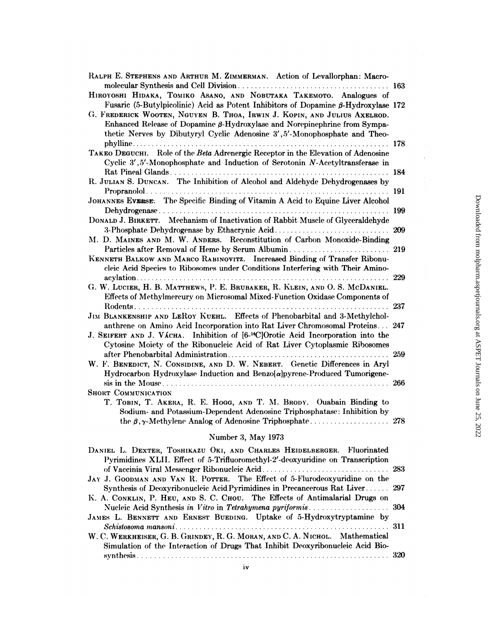| RALPH E. STEPHENS AND ARTHUR M. ZIMMERMAN. Action of Levallorphan: Macro-                                                                                                                                                                                                                                                               | 163 |
|-----------------------------------------------------------------------------------------------------------------------------------------------------------------------------------------------------------------------------------------------------------------------------------------------------------------------------------------|-----|
| HIROYOSHI HIDAKA, TOMIKO ASANO, AND NOBUTAKA TAKEMOTO. Analogues of                                                                                                                                                                                                                                                                     |     |
| Fusaric (5-Butylpicolinic) Acid as Potent Inhibitors of Dopamine $\beta$ -Hydroxylase 172<br>G. FREDERICK WOOTEN, NGUYEN B. THOA, IRWIN J. KOPIN, AND JULIUS AXELROD.<br>Enhanced Release of Dopamine $\beta$ -Hydroxylase and Norepinephrine from Sympa-<br>thetic Nerves by Dibutyryl Cyclic Adenosine 3', 5'-Monophosphate and Theo- |     |
| TAKEO DEGUCHI. Role of the Beta Adrenergic Receptor in the Elevation of Adenosine<br>Cyclic 3', 5'-Monophosphate and Induction of Serotonin N-Acetyltransferase in                                                                                                                                                                      | 184 |
| R. JULIAN S. DUNCAN. The Inhibition of Alcohol and Aldehyde Dehydrogenases by                                                                                                                                                                                                                                                           |     |
| JOHANNES EVERSE. The Specific Binding of Vitamin A Acid to Equine Liver Alcohol                                                                                                                                                                                                                                                         | 191 |
|                                                                                                                                                                                                                                                                                                                                         | 199 |
| DONALD J. BIRKETT. Mechanism of Inactivation of Rabbit Muscle of Glyceraldehyde                                                                                                                                                                                                                                                         | 209 |
| M. D. MAINES AND M. W. ANDERS. Reconstitution of Carbon Monoxide-Binding                                                                                                                                                                                                                                                                |     |
| KENNETH BALKOW AND MARCO RABINOVITZ. Increased Binding of Transfer Ribonu-<br>cleic Acid Species to Ribosomes under Conditions Interfering with Their Amino-                                                                                                                                                                            | 229 |
| G. W. LUCIER, H. B. MATTHEWS, P. E. BRUBAKER, R. KLEIN, AND O. S. MCDANIEL.<br>Effects of Methylmercury on Microsomal Mixed-Function Oxidase Components of                                                                                                                                                                              | 237 |
| JIM BLANKENSHIP AND LEROY KUEHL. Effects of Phenobarbital and 3-Methylchol-                                                                                                                                                                                                                                                             |     |
| anthrene on Amino Acid Incorporation into Rat Liver Chromosomal Proteins 247<br>J. SEIFERT AND J. VÁCHA. Inhibition of [6- <sup>14</sup> C]Orotic Acid Incorporation into the<br>Cytosine Moiety of the Ribonucleic Acid of Rat Liver Cytoplasmic Ribosomes                                                                             |     |
| W. F. BENEDICT, N. CONSIDINE, AND D. W. NEBERT. Genetic Differences in Aryl                                                                                                                                                                                                                                                             | 259 |
| Hydrocarbon Hydroxylase Induction and Benzo[a]pyrene-Produced Tumorigene-                                                                                                                                                                                                                                                               | 266 |
| <b>SHORT COMMUNICATION</b><br>T. TOBIN, T. AKERA, R. E. HOGG, AND T. M. BRODY. Ouabain Binding to<br>Sodium- and Potassium-Dependent Adenosine Triphosphatase: Inhibition by<br>the $\beta$ , $\gamma$ -Methylene Analog of Adenosine Triphosphate                                                                                      | 278 |
| Number 3, May 1973                                                                                                                                                                                                                                                                                                                      |     |
| DANIEL L. DEXTER, TOSHIKAZU OKI, AND CHARLES HEIDELBERGER. Fluorinated<br>Pyrimidines XLII. Effect of 5-Trifluoromethyl-2'-deoxyuridine on Transcription                                                                                                                                                                                |     |

| JAY J. GOODMAN AND VAN R. POTTER. The Effect of 5-Flurodeoxyuridine on the     |  |
|--------------------------------------------------------------------------------|--|
| Synthesis of Deoxyribonucleic Acid Pyrimidines in Precancerous Rat Liver 297   |  |
| K. A. CONKLIN, P. HEU, AND S. C. CHOU. The Effects of Antimalarial Drugs on    |  |
|                                                                                |  |
| JAMES L. BENNETT AND ERNEST BUEDING. Uptake of 5-Hydroxytryptamine by          |  |
|                                                                                |  |
| W. C. WERKHEISER, G. B. GRINDEY, R. G. MORAN, AND C. A. NICHOL. Mathematical   |  |
| Simulation of the Interaction of Drugs That Inhibit Deoxyribonucleic Acid Bio- |  |
|                                                                                |  |
|                                                                                |  |

 $\frac{1}{\sqrt{2}}$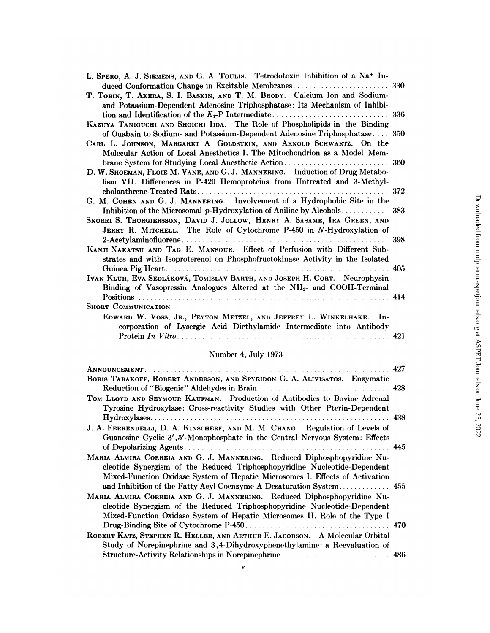| L. SPERO, A. J. SIEMENS, AND G. A. TOULIS. Tetrodotoxin Inhibition of a Na <sup>+</sup> In- |     |
|---------------------------------------------------------------------------------------------|-----|
|                                                                                             |     |
| T. TOBIN, T. AKERA, S. I. BASKIN, AND T. M. BRODY. Calcium Ion and Sodium-                  |     |
| and Potassium-Dependent Adenosine Triphosphatase: Its Mechanism of Inhibi-                  |     |
|                                                                                             |     |
| KAZUYA TANIGUCHI AND SHOICHI IIDA. The Role of Phospholipids in the Binding                 |     |
| of Ouabain to Sodium- and Potassium-Dependent Adenosine Triphosphatase 350                  |     |
| CARL L. JOHNSON, MARGARET A GOLDSTEIN, AND ARNOLD SCHWARTZ. On the                          |     |
| Molecular Action of Local Anesthetics I. The Mitochondrion as a Model Mem-                  |     |
| brane System for Studying Local Anesthetic Action                                           | 360 |
| D. W. SHOEMAN, FLOIE M. VANE, AND G. J. MANNERING. Induction of Drug Metabo-                |     |
| lism VII. Differences in P-420 Hemoproteins from Untreated and 3-Methyl-                    |     |
|                                                                                             | 372 |
| G. M. COHEN AND G. J. MANNERING. Involvement of a Hydrophobic Site in the                   |     |
|                                                                                             |     |
| SNORRI S. THORGIERSSON, DAVID J. JOLLOW, HENRY A. SASAME, IRA GREEN, AND                    |     |
| JERRY R. MITCHELL. The Role of Cytochrome P-450 in N-Hydroxylation of                       |     |
|                                                                                             | 398 |
| KANJI NAKATSU AND TAG E. MANSOUR. Effect of Perfusion with Different Sub-                   |     |
| strates and with Isoproterenol on Phosphofructokinase Activity in the Isolated              |     |
|                                                                                             | 405 |
| IVAN KLUH, EVA SEDLÁKOVÁ, TOMISLAV BARTH, AND JOSEPH H. CORT. Neurophysin                   |     |
| Binding of Vasopressin Analogues Altered at the NH <sub>2</sub> - and COOH-Terminal         |     |
|                                                                                             |     |
| <b>SHORT COMMUNICATION</b>                                                                  |     |
| EDWARD W. VOSS, JR., PEYTON METZEL, AND JEFFREY L. WINKELHAKE. In-                          |     |
| corporation of Lysergic Acid Diethylamide Intermediate into Antibody                        |     |
|                                                                                             | 421 |
|                                                                                             |     |

# Number 4, July 1973

|                                                                                                                                                                                                                                      | 427 |
|--------------------------------------------------------------------------------------------------------------------------------------------------------------------------------------------------------------------------------------|-----|
| BORIS TABAKOFF, ROBERT ANDERSON, AND SPYRIDON G. A. ALIVISATOS. Enzymatic                                                                                                                                                            |     |
| TOM LLOYD AND SEYMOUR KAUFMAN. Production of Antibodies to Bovine Adrenal<br>Tyrosine Hydroxylase: Cross-reactivity Studies with Other Pterin-Dependent                                                                              |     |
|                                                                                                                                                                                                                                      |     |
| J. A. FERRENDELLI, D. A. KINSCHERF, AND M. M. CHANG. Regulation of Levels of<br>Guanosine Cyclic 3', 5'-Monophosphate in the Central Nervous System: Effects                                                                         |     |
|                                                                                                                                                                                                                                      |     |
| MARIA ALMIRA CORREIA AND G. J. MANNERING. Reduced Diphosphopyridine Nu-<br>cleotide Synergism of the Reduced Triphosphopyridine Nucleotide-Dependent<br>Mixed-Function Oxidase System of Hepatic Microsomes I. Effects of Activation |     |
| MARIA ALMIRA CORREIA AND G. J. MANNERING. Reduced Diphosphopyridine Nu-                                                                                                                                                              |     |
| cleotide Synergism of the Reduced Triphosphopyridine Nucleotide-Dependent<br>Mixed-Function Oxidase System of Hepatic Microsomes II. Role of the Type I                                                                              |     |
| ROBERT KATZ, STEPHEN R. HELLER, AND ARTHUR E. JACOBSON. A Molecular Orbital                                                                                                                                                          |     |
| Study of Norepinephrine and 3,4-Dihydroxyphenethylamine: a Reevaluation of<br>Structure-Activity Relationships in Norepinephrine 486                                                                                                 |     |

 $\mathbf{v}$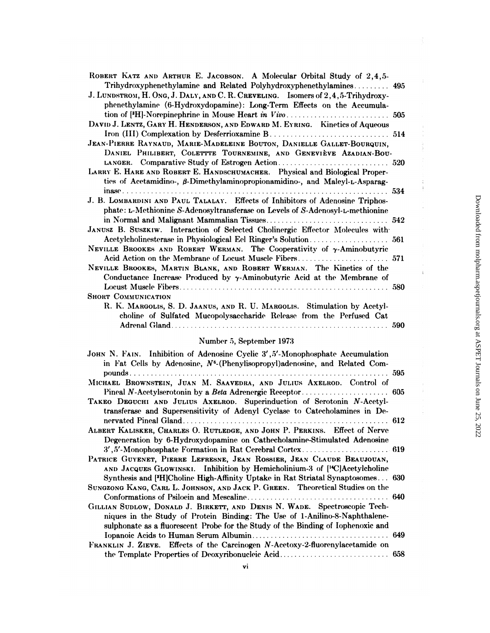| ROBERT KATZ AND ARTHUR E. JACOBSON. A Molecular Orbital Study of 2,4,5-                 |     |
|-----------------------------------------------------------------------------------------|-----|
| Trihydroxyphenethylamine and Related Polyhydroxyphenethylamines                         | 495 |
| J. LUNDSTROM, H. ONG, J. DALY, AND C. R. CREVELING. Isomers of 2,4,5-Trihydroxy-        |     |
| phenethylamine (6-Hydroxydopamine): Long-Term Effects on the Accumula-                  |     |
|                                                                                         |     |
| DAVID J. LENTZ, GARY H. HENDERSON, AND EDWARD M. EYRING. Kinetics of Aqueous            |     |
|                                                                                         |     |
| JEAN-PIERRE RAYNAUD, MARIE-MADELEINE BOUTON, DANIELLE GALLET-BOURQUIN,                  |     |
| DANIEL PHILIBERT, COLETTTE TOURNEMINE, AND GENEVIÈVE AZADIAN-BOU-                       |     |
|                                                                                         |     |
| LARRY E. HARE AND ROBERT E. HANDSCHUMACHER. Physical and Biological Proper-             |     |
| ties of Acetamidino-, $\beta$ -Dimethylaminopropionamidino-, and Maleyl-L-Asparag-      |     |
| $i$ nase                                                                                |     |
| J. B. LOMBARDINI AND PAUL TALALAY. Effects of Inhibitors of Adenosine Triphos-          |     |
| phate: L-Methionine S-Adenosyltransferase on Levels of S-Adenosyl-L-methionine          |     |
|                                                                                         |     |
| JANUSZ B. SUSZKIW. Interaction of Selected Cholinergic Effector Molecules with          |     |
|                                                                                         |     |
| NEVILLE BROOKES AND ROBERT WERMAN. The Cooperativity of y-Aminobutyric                  |     |
|                                                                                         |     |
| NEVILLE BROOKES, MARTIN BLANK, AND ROBERT WERMAN. The Kinetics of the                   |     |
| Conductance Increase Produced by $\gamma$ -Aminobutyric Acid at the Membrane of         |     |
|                                                                                         | 580 |
| <b>SHORT COMMUNICATION</b>                                                              |     |
| R. K. MARGOLIS, S. D. JAANUS, AND R. U. MARGOLIS. Stimulation by Acetyl-                |     |
| choline of Sulfated Mucopolysaccharide Release from the Perfused Cat                    |     |
|                                                                                         | 590 |
|                                                                                         |     |
| Number 5, September 1973                                                                |     |
| JOHN N. FAIN. Inhibition of Adenosine Cyclic 3', 5'-Monophosphate Accumulation          |     |
| in Fat Cells by Adenosine, N <sup>6</sup> -(Phenylisopropyl)adenosine, and Related Com- |     |
|                                                                                         |     |
| MICHAEL BROWNSTEIN, JUAN M. SAAVEDRA, AND JULIUS AXELROD. Control of                    |     |
|                                                                                         |     |
| TAKEO DEGUCHI AND JULUIS AXELBOD Superinduction of Serotonin N-Acetyl-                  |     |

AND JULIUS xELROD. Superinduction of Serotonin *N*-Acetyltransferase and Supersensitivity of Adenyl Cyclase to Catecholamines in De-ALBERT KALISKER, CHARLES O. RUTLEDGE, AND JOHN P. PERKINS. Effect of Nerve

Degeneration by 6-Hydroxydopamine on Cathecholamine-Stimulated Adenosine 3',5'-Monophosphate Formation in Rat Cerebral Cortex............................ 619 PATRICE GUYENET, PIERRE LEFRESNE, JEAN ROSSIER, JEAN CLAUDE BEAUJOUAN,

| AND JACQUES GLOWINSKI. Inhibition by Hemicholinium-3 of [ <sup>14</sup> C]Acetylcholine |      |
|-----------------------------------------------------------------------------------------|------|
| Synthesis and [H]Choline High-Affinity Uptake in Rat Striatal Synaptosomes 630          |      |
| SUNGZONG KANG, CARL L. JOHNSON, AND JACK P. GREEN. Theoretical Studies on the           |      |
|                                                                                         | .640 |

| GILLIAN SUDLOW, DONALD J. BIRKETT, AND DENIS N. WADE. Spectroscopic Tech-        |
|----------------------------------------------------------------------------------|
| niques in the Study of Protein Binding: The Use of 1-Anilino-8-Naphthalene-      |
| sulphonate as a fluorescent Probe for the Study of the Binding of Iophenoxic and |
|                                                                                  |
| FRANKLIN J. ZIEVE. Effects of the Carcinogen N-Acetoxy-2-fluorenylacetamide on   |

the Template Properties of Deoxyribonucleic Acid................................. 658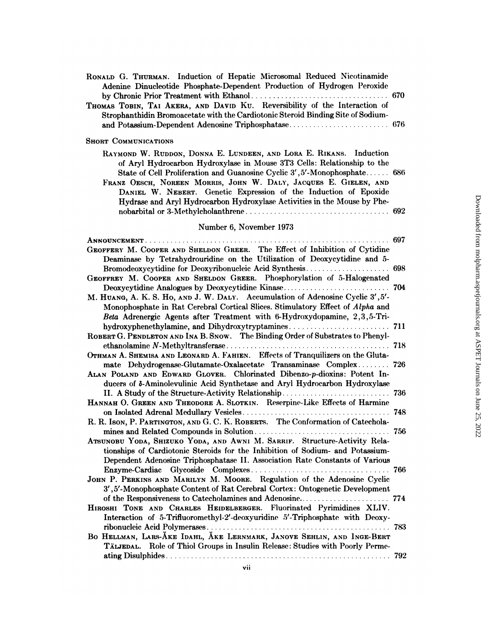| RONALD G. THURMAN. Induction of Hepatic Microsomal Reduced Nicotinamide<br>Adenine Dinucleotide Phosphate-Dependent Production of Hydrogen Peroxide                                                                                                                                                                                                                                                                                            | 670 |
|------------------------------------------------------------------------------------------------------------------------------------------------------------------------------------------------------------------------------------------------------------------------------------------------------------------------------------------------------------------------------------------------------------------------------------------------|-----|
| THOMAS TOBIN, TAI AKERA, AND DAVID KU. Reversibility of the Interaction of<br>Strophanthidin Bromoacetate with the Cardiotonic Steroid Binding Site of Sodium-                                                                                                                                                                                                                                                                                 |     |
| <b>SHORT COMMUNICATIONS</b>                                                                                                                                                                                                                                                                                                                                                                                                                    |     |
| RAYMOND W. RUDDON, DONNA E. LUNDEEN, AND LORA E. RIKANS. Induction<br>of Aryl Hydrocarbon Hydroxylase in Mouse 3T3 Cells: Relationship to the<br>State of Cell Proliferation and Guanosine Cyclic 3', 5'-Monophosphate 686<br>FRANZ OESCH, NOREEN MORRIS, JOHN W. DALY, JACQUES E. GIELEN, AND<br>DANIEL W. NEBERT. Genetic Expression of the Induction of Epoxide<br>Hydrase and Aryl Hydrocarbon Hydroxylase Activities in the Mouse by Phe- |     |
| Number 6, November 1973                                                                                                                                                                                                                                                                                                                                                                                                                        |     |
|                                                                                                                                                                                                                                                                                                                                                                                                                                                | 697 |
| GEOFFERY M. COOPER AND SHELDON GREER. The Effect of Inhibition of Cytidine<br>Deaminase by Tetrahydrouridine on the Utilization of Deoxycytidine and 5-                                                                                                                                                                                                                                                                                        |     |
| GEOFFREY M. COOPER AND SHELDON GREER. Phosphorylation of 5-Halogenated                                                                                                                                                                                                                                                                                                                                                                         |     |
| Deoxycytidine Analogues by Deoxycytidine Kinase                                                                                                                                                                                                                                                                                                                                                                                                | 704 |
| M. HUANG, A. K. S. Ho, AND J. W. DALY. Accumulation of Adenosine Cyclic 3', 5'-<br>Monophosphate in Rat Cerebral Cortical Slices. Stimulatory Effect of Alpha and                                                                                                                                                                                                                                                                              |     |
| Beta Adrenergic Agents after Treatment with 6-Hydroxydopamine, 2,3,5-Tri-                                                                                                                                                                                                                                                                                                                                                                      |     |
| ROBERT G. PENDLETON AND INA B. SNOW. The Binding Order of Substrates to Phenyl-                                                                                                                                                                                                                                                                                                                                                                |     |
| OTHMAN A. SHEMISA AND LEONARD A. FAHIEN. Effects of Tranquilizers on the Gluta-                                                                                                                                                                                                                                                                                                                                                                |     |
| mate Dehydrogenase-Glutamate-Oxalacetate Transaminase Complex 726<br>ALAN POLAND AND EDWARD GLOVER. Chlorinated Dibenzo-p-dioxins: Potent In-<br>ducers of $\delta$ -Aminolevulinic Acid Synthetase and Aryl Hydrocarbon Hydroxylase                                                                                                                                                                                                           |     |
| II. A Study of the Structure-Activity Relationship                                                                                                                                                                                                                                                                                                                                                                                             | 736 |
| HANNAH O. GREEN AND THEODORE A. SLOTKIN. Reserpine-Like Effects of Harmine                                                                                                                                                                                                                                                                                                                                                                     |     |
| R. R. Ison, P. PARTINGTON, AND G. C. K. ROBERTS. The Conformation of Catechola-                                                                                                                                                                                                                                                                                                                                                                | 748 |
| mines and Related Compounds in Solution<br>ATSUNOBU YODA, SHIZUKO YODA, AND AWNI M. SARRIF. Structure-Activity Rela-<br>tionships of Cardiotonic Steroids for the Inhibition of Sodium- and Potassium-<br>Dependent Adenosine Triphosphatase II. Association Rate Constants of Various                                                                                                                                                         | 756 |
|                                                                                                                                                                                                                                                                                                                                                                                                                                                |     |
| JOHN P. PERKINS AND MARILYN M. MOORE. Regulation of the Adenosine Cyclic                                                                                                                                                                                                                                                                                                                                                                       |     |
| 3',5'-Monophosphate Content of Rat Cerebral Cortex: Ontogenetic Development                                                                                                                                                                                                                                                                                                                                                                    |     |
| HIROSHI TONE AND CHARLES HEIDELBERGER. Fluorinated Pyrimidines XLIV.<br>Interaction of 5-Trifluoromethyl-2'-deoxyuridine 5'-Triphosphate with Deoxy-                                                                                                                                                                                                                                                                                           |     |
|                                                                                                                                                                                                                                                                                                                                                                                                                                                |     |
| BO HELLMAN, LARS-ÅKE IDAHL, ÅKE LERNMARK, JANOVE SEHLIN, AND INGE-BERT<br>TÄLJEDAL. Role of Thiol Groups in Insulin Release: Studies with Poorly Perme-                                                                                                                                                                                                                                                                                        |     |
|                                                                                                                                                                                                                                                                                                                                                                                                                                                |     |